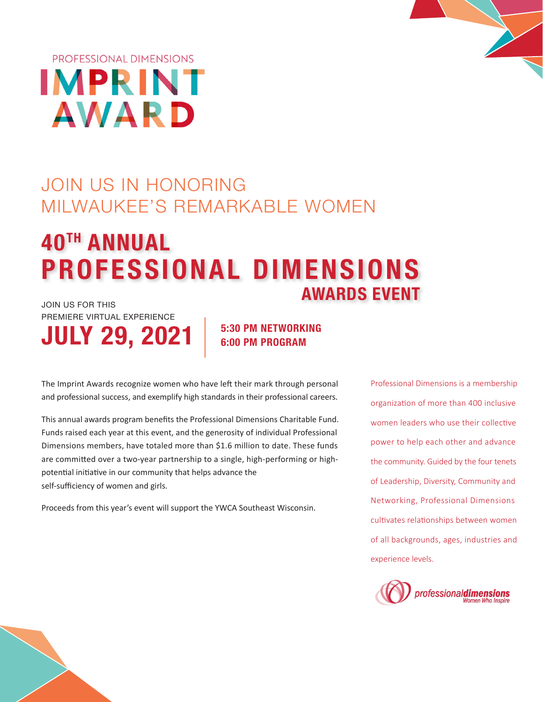

# JOIN US IN HONORING MILWAUKEE'S REMARKABLE WOMEN

## **PROFESSIONAL DIMENSIONS AWARDS EVENT** JOIN US FOR THIS **40TH ANNUAL**

PREMIERE VIRTUAL EXPERIENCE

# **JULY 29, 2021**

**5:30 PM NETWORKING 6:00 PM PROGRAM**

The Imprint Awards recognize women who have left their mark through personal and professional success, and exemplify high standards in their professional careers.

This annual awards program benefits the Professional Dimensions Charitable Fund. Funds raised each year at this event, and the generosity of individual Professional Dimensions members, have totaled more than \$1.6 million to date. These funds are committed over a two-year partnership to a single, high-performing or highpotential initiative in our community that helps advance the self-sufficiency of women and girls.

Proceeds from this year's event will support the YWCA Southeast Wisconsin.

Professional Dimensions is a membership organization of more than 400 inclusive women leaders who use their collective power to help each other and advance the community. Guided by the four tenets of Leadership, Diversity, Community and Networking, Professional Dimensions cultivates relationships between women of all backgrounds, ages, industries and experience levels.